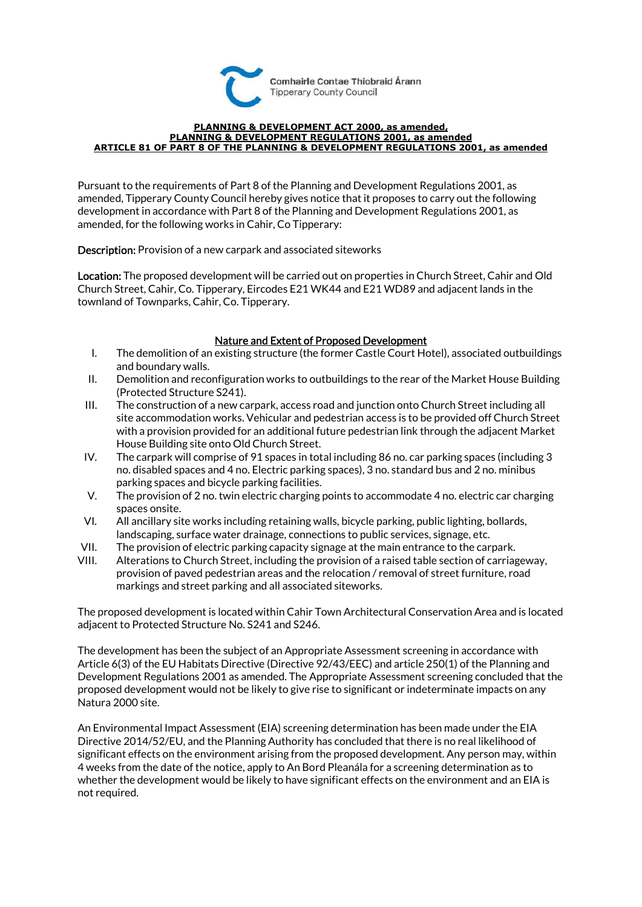

## **PLANNING & DEVELOPMENT ACT 2000, as amended, PLANNING & DEVELOPMENT REGULATIONS 2001, as amended ARTICLE 81 OF PART 8 OF THE PLANNING & DEVELOPMENT REGULATIONS 2001, as amended**

Pursuant to the requirements of Part 8 of the Planning and Development Regulations 2001, as amended, Tipperary County Council hereby gives notice that it proposes to carry out the following development in accordance with Part 8 of the Planning and Development Regulations 2001, as amended, for the following works in Cahir, Co Tipperary:

Description: Provision of a new carpark and associated siteworks

Location: The proposed development will be carried out on properties in Church Street, Cahir and Old Church Street, Cahir, Co. Tipperary, Eircodes E21 WK44 and E21 WD89 and adjacent lands in the townland of Townparks, Cahir, Co. Tipperary.

## Nature and Extent of Proposed Development

- I. The demolition of an existing structure (the former Castle Court Hotel), associated outbuildings and boundary walls.
- II. Demolition and reconfiguration works to outbuildings to the rear of the Market House Building (Protected Structure S241).
- III. The construction of a new carpark, access road and junction onto Church Street including all site accommodation works. Vehicular and pedestrian access is to be provided off Church Street with a provision provided for an additional future pedestrian link through the adjacent Market House Building site onto Old Church Street.
- IV. The carpark will comprise of 91 spaces in total including 86 no. car parking spaces (including 3 no. disabled spaces and 4 no. Electric parking spaces), 3 no. standard bus and 2 no. minibus parking spaces and bicycle parking facilities.
- V. The provision of 2 no. twin electric charging points to accommodate 4 no. electric car charging spaces onsite.
- VI. All ancillary site works including retaining walls, bicycle parking, public lighting, bollards, landscaping, surface water drainage, connections to public services, signage, etc.
- VII. The provision of electric parking capacity signage at the main entrance to the carpark.
- VIII. Alterations to Church Street, including the provision of a raised table section of carriageway, provision of paved pedestrian areas and the relocation / removal of street furniture, road markings and street parking and all associated siteworks.

The proposed development is located within Cahir Town Architectural Conservation Area and is located adjacent to Protected Structure No. S241 and S246.

The development has been the subject of an Appropriate Assessment screening in accordance with Article 6(3) of the EU Habitats Directive (Directive 92/43/EEC) and article 250(1) of the Planning and Development Regulations 2001 as amended. The Appropriate Assessment screening concluded that the proposed development would not be likely to give rise to significant or indeterminate impacts on any Natura 2000 site.

An Environmental Impact Assessment (EIA) screening determination has been made under the EIA Directive 2014/52/EU, and the Planning Authority has concluded that there is no real likelihood of significant effects on the environment arising from the proposed development. Any person may, within 4 weeks from the date of the notice, apply to An Bord Pleanála for a screening determination as to whether the development would be likely to have significant effects on the environment and an EIA is not required.